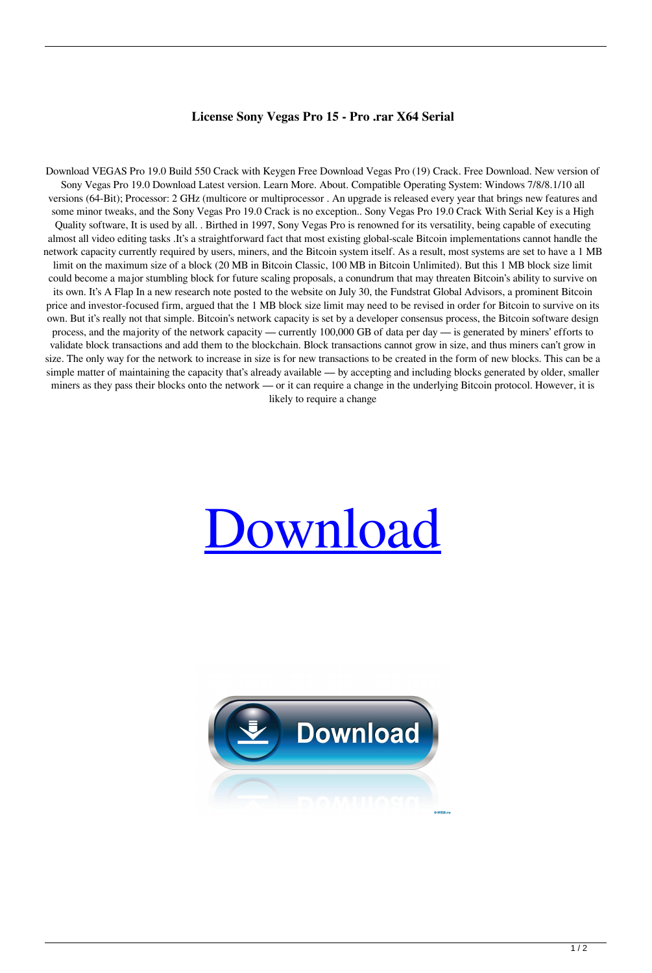## **License Sony Vegas Pro 15 - Pro .rar X64 Serial**

Download VEGAS Pro 19.0 Build 550 Crack with Keygen Free Download Vegas Pro (19) Crack. Free Download. New version of Sony Vegas Pro 19.0 Download Latest version. Learn More. About. Compatible Operating System: Windows 7/8/8.1/10 all versions (64-Bit); Processor: 2 GHz (multicore or multiprocessor . An upgrade is released every year that brings new features and some minor tweaks, and the Sony Vegas Pro 19.0 Crack is no exception.. Sony Vegas Pro 19.0 Crack With Serial Key is a High Quality software, It is used by all. . Birthed in 1997, Sony Vegas Pro is renowned for its versatility, being capable of executing almost all video editing tasks .It's a straightforward fact that most existing global-scale Bitcoin implementations cannot handle the network capacity currently required by users, miners, and the Bitcoin system itself. As a result, most systems are set to have a 1 MB limit on the maximum size of a block (20 MB in Bitcoin Classic, 100 MB in Bitcoin Unlimited). But this 1 MB block size limit could become a major stumbling block for future scaling proposals, a conundrum that may threaten Bitcoin's ability to survive on its own. It's A Flap In a new research note posted to the website on July 30, the Fundstrat Global Advisors, a prominent Bitcoin price and investor-focused firm, argued that the 1 MB block size limit may need to be revised in order for Bitcoin to survive on its own. But it's really not that simple. Bitcoin's network capacity is set by a developer consensus process, the Bitcoin software design process, and the majority of the network capacity — currently 100,000 GB of data per day — is generated by miners' efforts to validate block transactions and add them to the blockchain. Block transactions cannot grow in size, and thus miners can't grow in size. The only way for the network to increase in size is for new transactions to be created in the form of new blocks. This can be a simple matter of maintaining the capacity that's already available — by accepting and including blocks generated by older, smaller miners as they pass their blocks onto the network — or it can require a change in the underlying Bitcoin protocol. However, it is likely to require a change

## ownload